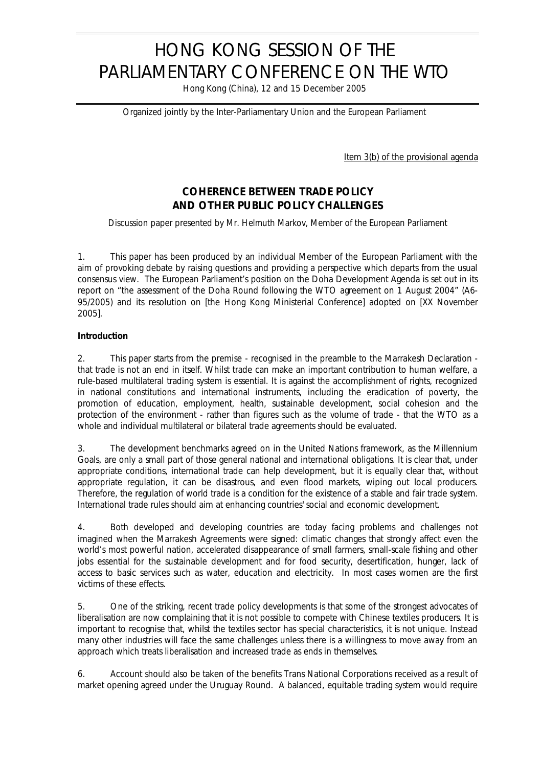# HONG KONG SESSION OF THE PARLIAMENTARY CONFERENCE ON THE WTO

Hong Kong (China), 12 and 15 December 2005

*Organized jointly by the Inter-Parliamentary Union and the European Parliament*

Item 3(b) of the provisional agenda

# **COHERENCE BETWEEN TRADE POLICY AND OTHER PUBLIC POLICY CHALLENGES**

*Discussion paper presented by Mr. Helmuth Markov, Member of the European Parliament*

1. This paper has been produced by an individual Member of the European Parliament with the aim of provoking debate by raising questions and providing a perspective which departs from the usual consensus view. The European Parliament's position on the Doha Development Agenda is set out in its report on "the assessment of the Doha Round following the WTO agreement on 1 August 2004" (A6- 95/2005) and its resolution on [the Hong Kong Ministerial Conference] adopted on [XX November 2005].

#### **Introduction**

2. This paper starts from the premise - recognised in the preamble to the Marrakesh Declaration that trade is not an end in itself. Whilst trade can make an important contribution to human welfare, a rule-based multilateral trading system is essential. It is against the accomplishment of rights, recognized in national constitutions and international instruments, including the eradication of poverty, the promotion of education, employment, health, sustainable development, social cohesion and the protection of the environment - rather than figures such as the volume of trade - that the WTO as a whole and individual multilateral or bilateral trade agreements should be evaluated.

3. The development benchmarks agreed on in the United Nations framework, as the Millennium Goals, are only a small part of those general national and international obligations. It is clear that, under appropriate conditions, international trade can help development, but it is equally clear that, without appropriate regulation, it can be disastrous, and even flood markets, wiping out local producers. Therefore, the regulation of world trade is a condition for the existence of a stable and fair trade system. International trade rules should aim at enhancing countries' social and economic development.

4. Both developed and developing countries are today facing problems and challenges not imagined when the Marrakesh Agreements were signed: climatic changes that strongly affect even the world's most powerful nation, accelerated disappearance of small farmers, small-scale fishing and other jobs essential for the sustainable development and for food security, desertification, hunger, lack of access to basic services such as water, education and electricity. In most cases women are the first victims of these effects.

5. One of the striking, recent trade policy developments is that some of the strongest advocates of liberalisation are now complaining that it is not possible to compete with Chinese textiles producers. It is important to recognise that, whilst the textiles sector has special characteristics, it is not unique. Instead many other industries will face the same challenges unless there is a willingness to move away from an approach which treats liberalisation and increased trade as ends in themselves.

6. Account should also be taken of the benefits Trans National Corporations received as a result of market opening agreed under the Uruguay Round. A balanced, equitable trading system would require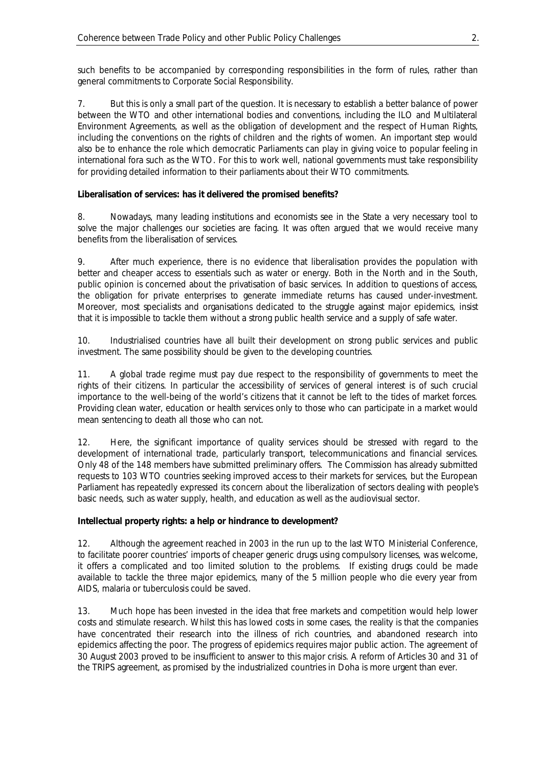such benefits to be accompanied by corresponding responsibilities in the form of rules, rather than general commitments to Corporate Social Responsibility.

7. But this is only a small part of the question. It is necessary to establish a better balance of power between the WTO and other international bodies and conventions, including the ILO and Multilateral Environment Agreements, as well as the obligation of development and the respect of Human Rights, including the conventions on the rights of children and the rights of women. An important step would also be to enhance the role which democratic Parliaments can play in giving voice to popular feeling in international fora such as the WTO. For this to work well, national governments must take responsibility for providing detailed information to their parliaments about their WTO commitments.

#### **Liberalisation of services: has it delivered the promised benefits?**

8. Nowadays, many leading institutions and economists see in the State a very necessary tool to solve the major challenges our societies are facing. It was often argued that we would receive many benefits from the liberalisation of services.

9. After much experience, there is no evidence that liberalisation provides the population with better and cheaper access to essentials such as water or energy. Both in the North and in the South, public opinion is concerned about the privatisation of basic services. In addition to questions of access, the obligation for private enterprises to generate immediate returns has caused under-investment. Moreover, most specialists and organisations dedicated to the struggle against major epidemics, insist that it is impossible to tackle them without a strong public health service and a supply of safe water.

10. Industrialised countries have all built their development on strong public services and public investment. The same possibility should be given to the developing countries.

11. A global trade regime must pay due respect to the responsibility of governments to meet the rights of their citizens. In particular the accessibility of services of general interest is of such crucial importance to the well-being of the world's citizens that it cannot be left to the tides of market forces. Providing clean water, education or health services only to those who can participate in a market would mean sentencing to death all those who can not.

12. Here, the significant importance of quality services should be stressed with regard to the development of international trade, particularly transport, telecommunications and financial services. Only 48 of the 148 members have submitted preliminary offers. The Commission has already submitted requests to 103 WTO countries seeking improved access to their markets for services, but the European Parliament has repeatedly expressed its concern about the liberalization of sectors dealing with people's basic needs, such as water supply, health, and education as well as the audiovisual sector.

#### **Intellectual property rights: a help or hindrance to development?**

12. Although the agreement reached in 2003 in the run up to the last WTO Ministerial Conference, to facilitate poorer countries' imports of cheaper generic drugs using compulsory licenses, was welcome, it offers a complicated and too limited solution to the problems. If existing drugs could be made available to tackle the three major epidemics, many of the 5 million people who die every year from AIDS, malaria or tuberculosis could be saved.

13. Much hope has been invested in the idea that free markets and competition would help lower costs and stimulate research. Whilst this has lowed costs in some cases, the reality is that the companies have concentrated their research into the illness of rich countries, and abandoned research into epidemics affecting the poor. The progress of epidemics requires major public action. The agreement of 30 August 2003 proved to be insufficient to answer to this major crisis. A reform of Articles 30 and 31 of the TRIPS agreement, as promised by the industrialized countries in Doha is more urgent than ever.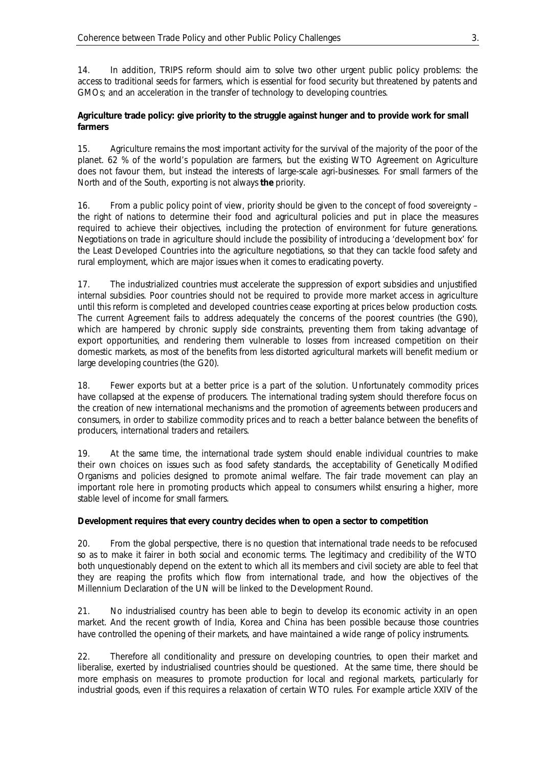14. In addition, TRIPS reform should aim to solve two other urgent public policy problems: the access to traditional seeds for farmers, which is essential for food security but threatened by patents and GMOs; and an acceleration in the transfer of technology to developing countries.

#### **Agriculture trade policy: give priority to the struggle against hunger and to provide work for small farmers**

15. Agriculture remains the most important activity for the survival of the majority of the poor of the planet. 62 % of the world's population are farmers, but the existing WTO Agreement on Agriculture does not favour them, but instead the interests of large-scale agri-businesses. For small farmers of the North and of the South, exporting is not always **the** priority.

16. From a public policy point of view, priority should be given to the concept of food sovereignty – the right of nations to determine their food and agricultural policies and put in place the measures required to achieve their objectives, including the protection of environment for future generations. Negotiations on trade in agriculture should include the possibility of introducing a 'development box' for the Least Developed Countries into the agriculture negotiations, so that they can tackle food safety and rural employment, which are major issues when it comes to eradicating poverty.

17. The industrialized countries must accelerate the suppression of export subsidies and unjustified internal subsidies. Poor countries should not be required to provide more market access in agriculture until this reform is completed and developed countries cease exporting at prices below production costs. The current Agreement fails to address adequately the concerns of the poorest countries (the G90), which are hampered by chronic supply side constraints, preventing them from taking advantage of export opportunities, and rendering them vulnerable to losses from increased competition on their domestic markets, as most of the benefits from less distorted agricultural markets will benefit medium or large developing countries (the G20).

18. Fewer exports but at a better price is a part of the solution. Unfortunately commodity prices have collapsed at the expense of producers. The international trading system should therefore focus on the creation of new international mechanisms and the promotion of agreements between producers and consumers, in order to stabilize commodity prices and to reach a better balance between the benefits of producers, international traders and retailers.

19. At the same time, the international trade system should enable individual countries to make their own choices on issues such as food safety standards, the acceptability of Genetically Modified Organisms and policies designed to promote animal welfare. The fair trade movement can play an important role here in promoting products which appeal to consumers whilst ensuring a higher, more stable level of income for small farmers.

#### **Development requires that every country decides when to open a sector to competition**

20. From the global perspective, there is no question that international trade needs to be refocused so as to make it fairer in both social and economic terms. The legitimacy and credibility of the WTO both unquestionably depend on the extent to which all its members and civil society are able to feel that they are reaping the profits which flow from international trade, and how the objectives of the Millennium Declaration of the UN will be linked to the Development Round.

21. No industrialised country has been able to begin to develop its economic activity in an open market. And the recent growth of India, Korea and China has been possible because those countries have controlled the opening of their markets, and have maintained a wide range of policy instruments.

22. Therefore all conditionality and pressure on developing countries, to open their market and liberalise, exerted by industrialised countries should be questioned. At the same time, there should be more emphasis on measures to promote production for local and regional markets, particularly for industrial goods, even if this requires a relaxation of certain WTO rules. For example article XXIV of the